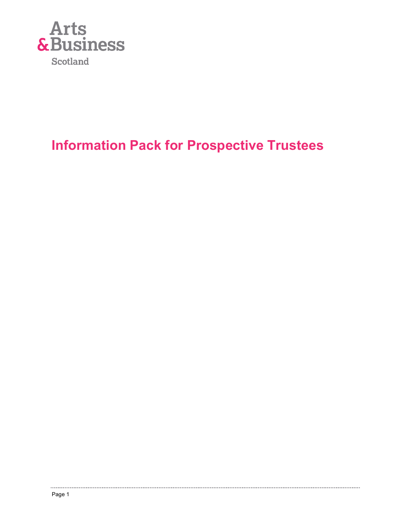

# Information Pack for Prospective Trustees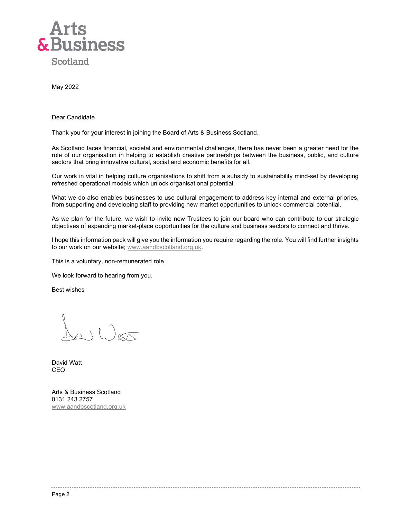

May 2022

Dear Candidate

Thank you for your interest in joining the Board of Arts & Business Scotland.

As Scotland faces financial, societal and environmental challenges, there has never been a greater need for the role of our organisation in helping to establish creative partnerships between the business, public, and culture sectors that bring innovative cultural, social and economic benefits for all.

Our work in vital in helping culture organisations to shift from a subsidy to sustainability mind-set by developing refreshed operational models which unlock organisational potential.

What we do also enables businesses to use cultural engagement to address key internal and external priories, from supporting and developing staff to providing new market opportunities to unlock commercial potential.

As we plan for the future, we wish to invite new Trustees to join our board who can contribute to our strategic objectives of expanding market-place opportunities for the culture and business sectors to connect and thrive.

I hope this information pack will give you the information you require regarding the role. You will find further insights to our work on our website; www.aandbscotland.org.uk.

This is a voluntary, non-remunerated role.

We look forward to hearing from you.

Best wishes

 $\lambda_{c}(\lambda)$ 

David Watt CEO

Arts & Business Scotland 0131 243 2757 www.aandbscotland.org.uk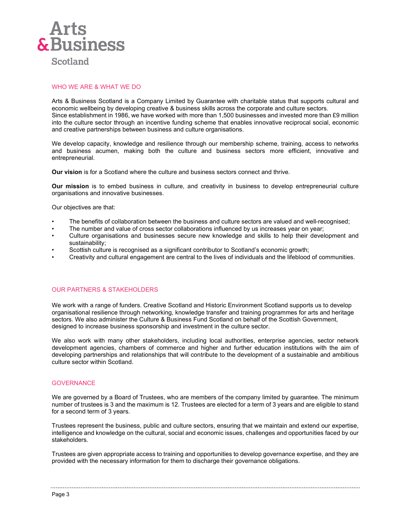

## WHO WE ARE & WHAT WE DO

Arts & Business Scotland is a Company Limited by Guarantee with charitable status that supports cultural and economic wellbeing by developing creative & business skills across the corporate and culture sectors. Since establishment in 1986, we have worked with more than 1,500 businesses and invested more than £9 million into the culture sector through an incentive funding scheme that enables innovative reciprocal social, economic and creative partnerships between business and culture organisations.

We develop capacity, knowledge and resilience through our membership scheme, training, access to networks and business acumen, making both the culture and business sectors more efficient, innovative and entrepreneurial.

Our vision is for a Scotland where the culture and business sectors connect and thrive.

Our mission is to embed business in culture, and creativity in business to develop entrepreneurial culture organisations and innovative businesses.

Our objectives are that:

- The benefits of collaboration between the business and culture sectors are valued and well-recognised;
- The number and value of cross sector collaborations influenced by us increases year on year;
- Culture organisations and businesses secure new knowledge and skills to help their development and sustainability;
- Scottish culture is recognised as a significant contributor to Scotland's economic growth;
- Creativity and cultural engagement are central to the lives of individuals and the lifeblood of communities.

## OUR PARTNERS & STAKEHOLDERS

We work with a range of funders. Creative Scotland and Historic Environment Scotland supports us to develop organisational resilience through networking, knowledge transfer and training programmes for arts and heritage sectors. We also administer the Culture & Business Fund Scotland on behalf of the Scottish Government, designed to increase business sponsorship and investment in the culture sector.

We also work with many other stakeholders, including local authorities, enterprise agencies, sector network development agencies, chambers of commerce and higher and further education institutions with the aim of developing partnerships and relationships that will contribute to the development of a sustainable and ambitious culture sector within Scotland.

#### **GOVERNANCE**

We are governed by a Board of Trustees, who are members of the company limited by guarantee. The minimum number of trustees is 3 and the maximum is 12. Trustees are elected for a term of 3 years and are eligible to stand for a second term of 3 years.

Trustees represent the business, public and culture sectors, ensuring that we maintain and extend our expertise, intelligence and knowledge on the cultural, social and economic issues, challenges and opportunities faced by our stakeholders.

Trustees are given appropriate access to training and opportunities to develop governance expertise, and they are provided with the necessary information for them to discharge their governance obligations.

Page 3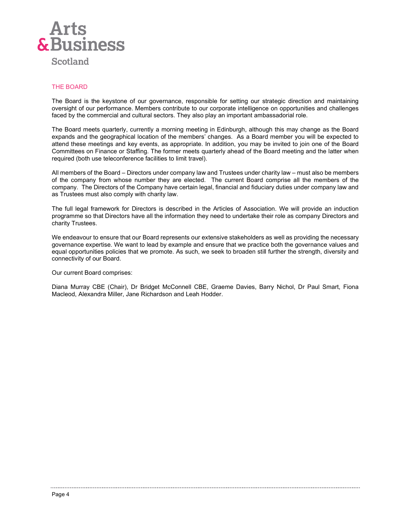

## THE BOARD

The Board is the keystone of our governance, responsible for setting our strategic direction and maintaining oversight of our performance. Members contribute to our corporate intelligence on opportunities and challenges faced by the commercial and cultural sectors. They also play an important ambassadorial role.

The Board meets quarterly, currently a morning meeting in Edinburgh, although this may change as the Board expands and the geographical location of the members' changes. As a Board member you will be expected to attend these meetings and key events, as appropriate. In addition, you may be invited to join one of the Board Committees on Finance or Staffing. The former meets quarterly ahead of the Board meeting and the latter when required (both use teleconference facilities to limit travel).

All members of the Board – Directors under company law and Trustees under charity law – must also be members of the company from whose number they are elected. The current Board comprise all the members of the company. The Directors of the Company have certain legal, financial and fiduciary duties under company law and as Trustees must also comply with charity law.

The full legal framework for Directors is described in the Articles of Association. We will provide an induction programme so that Directors have all the information they need to undertake their role as company Directors and charity Trustees.

We endeavour to ensure that our Board represents our extensive stakeholders as well as providing the necessary governance expertise. We want to lead by example and ensure that we practice both the governance values and equal opportunities policies that we promote. As such, we seek to broaden still further the strength, diversity and connectivity of our Board.

Our current Board comprises:

Diana Murray CBE (Chair), Dr Bridget McConnell CBE, Graeme Davies, Barry Nichol, Dr Paul Smart, Fiona Macleod, Alexandra Miller, Jane Richardson and Leah Hodder.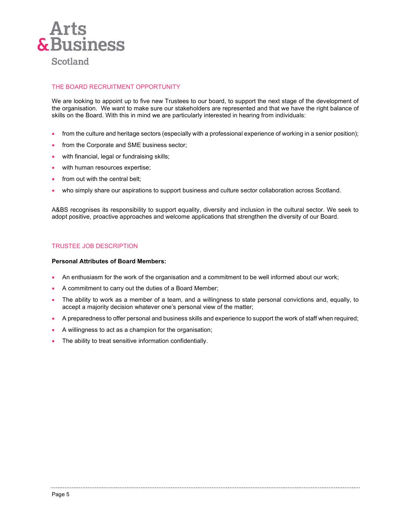

## THE BOARD RECRUITMENT OPPORTUNITY

We are looking to appoint up to five new Trustees to our board, to support the next stage of the development of the organisation. We want to make sure our stakeholders are represented and that we have the right balance of skills on the Board. With this in mind we are particularly interested in hearing from individuals:

- from the culture and heritage sectors (especially with a professional experience of working in a senior position);
- from the Corporate and SME business sector;
- with financial, legal or fundraising skills;
- with human resources expertise;
- from out with the central belt;
- who simply share our aspirations to support business and culture sector collaboration across Scotland.

A&BS recognises its responsibility to support equality, diversity and inclusion in the cultural sector. We seek to adopt positive, proactive approaches and welcome applications that strengthen the diversity of our Board.

#### TRUSTEE JOB DESCRIPTION

#### Personal Attributes of Board Members:

- An enthusiasm for the work of the organisation and a commitment to be well informed about our work;
- A commitment to carry out the duties of a Board Member;
- The ability to work as a member of a team, and a willingness to state personal convictions and, equally, to accept a majority decision whatever one's personal view of the matter;
- A preparedness to offer personal and business skills and experience to support the work of staff when required;
- A willingness to act as a champion for the organisation;
- The ability to treat sensitive information confidentially.